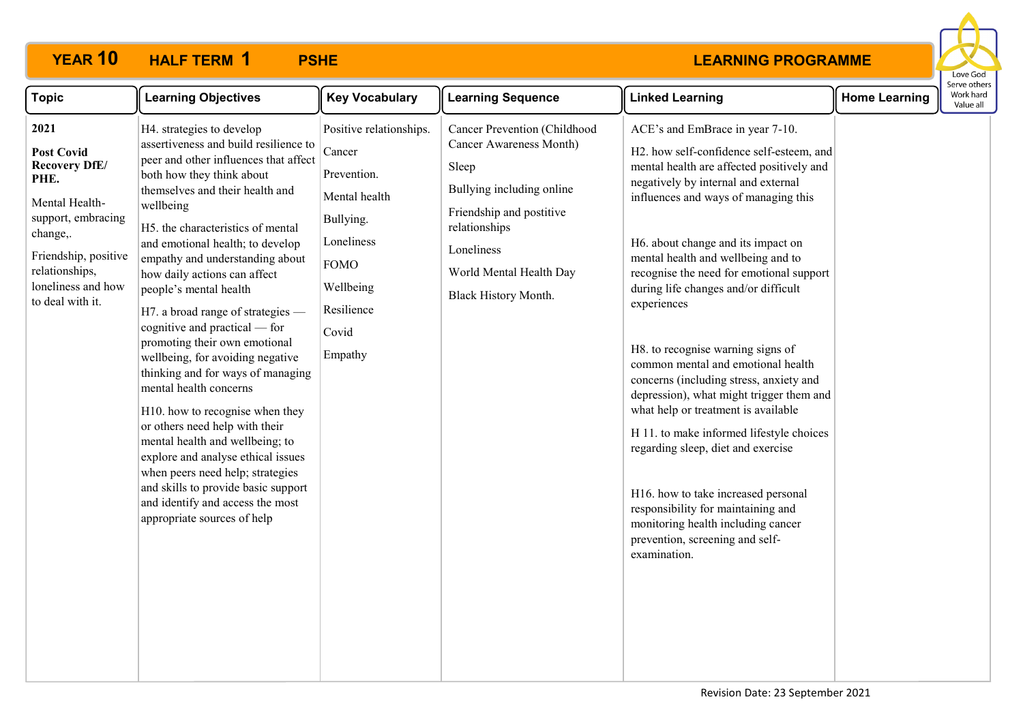

| <b>Topic</b>                                                                                                                                                                                      | <b>Learning Objectives</b>                                                                                                                                                                                                                                                                                                                                                                                                                                                                                                                                                                                                                                                                                                                                                                                                                                           | <b>Key Vocabulary</b>                                                                                                                                      | <b>Learning Sequence</b>                                                                                                                                                                                           | <b>Linked Learning</b>                                                                                                                                                                                                                                                                                                                                                                                                                                                                                                                                                                                                                                                                                                                                                                                                                                  | <b>Home Learning</b> | Serve others<br>Work hard<br>Value all |
|---------------------------------------------------------------------------------------------------------------------------------------------------------------------------------------------------|----------------------------------------------------------------------------------------------------------------------------------------------------------------------------------------------------------------------------------------------------------------------------------------------------------------------------------------------------------------------------------------------------------------------------------------------------------------------------------------------------------------------------------------------------------------------------------------------------------------------------------------------------------------------------------------------------------------------------------------------------------------------------------------------------------------------------------------------------------------------|------------------------------------------------------------------------------------------------------------------------------------------------------------|--------------------------------------------------------------------------------------------------------------------------------------------------------------------------------------------------------------------|---------------------------------------------------------------------------------------------------------------------------------------------------------------------------------------------------------------------------------------------------------------------------------------------------------------------------------------------------------------------------------------------------------------------------------------------------------------------------------------------------------------------------------------------------------------------------------------------------------------------------------------------------------------------------------------------------------------------------------------------------------------------------------------------------------------------------------------------------------|----------------------|----------------------------------------|
| 2021<br><b>Post Covid</b><br><b>Recovery DfE/</b><br>PHE.<br>Mental Health-<br>support, embracing<br>change,.<br>Friendship, positive<br>relationships,<br>loneliness and how<br>to deal with it. | H4. strategies to develop<br>assertiveness and build resilience to<br>peer and other influences that affect<br>both how they think about<br>themselves and their health and<br>wellbeing<br>H5. the characteristics of mental<br>and emotional health; to develop<br>empathy and understanding about<br>how daily actions can affect<br>people's mental health<br>H7. a broad range of strategies —<br>cognitive and practical — for<br>promoting their own emotional<br>wellbeing, for avoiding negative<br>thinking and for ways of managing<br>mental health concerns<br>H10. how to recognise when they<br>or others need help with their<br>mental health and wellbeing; to<br>explore and analyse ethical issues<br>when peers need help; strategies<br>and skills to provide basic support<br>and identify and access the most<br>appropriate sources of help | Positive relationships.<br>Cancer<br>Prevention.<br>Mental health<br>Bullying.<br>Loneliness<br><b>FOMO</b><br>Wellbeing<br>Resilience<br>Covid<br>Empathy | <b>Cancer Prevention (Childhood</b><br>Cancer Awareness Month)<br>Sleep<br>Bullying including online<br>Friendship and postitive<br>relationships<br>Loneliness<br>World Mental Health Day<br>Black History Month. | ACE's and EmBrace in year 7-10.<br>H2. how self-confidence self-esteem, and<br>mental health are affected positively and<br>negatively by internal and external<br>influences and ways of managing this<br>H6. about change and its impact on<br>mental health and wellbeing and to<br>recognise the need for emotional support<br>during life changes and/or difficult<br>experiences<br>H8. to recognise warning signs of<br>common mental and emotional health<br>concerns (including stress, anxiety and<br>depression), what might trigger them and<br>what help or treatment is available<br>H 11. to make informed lifestyle choices<br>regarding sleep, diet and exercise<br>H16. how to take increased personal<br>responsibility for maintaining and<br>monitoring health including cancer<br>prevention, screening and self-<br>examination. |                      |                                        |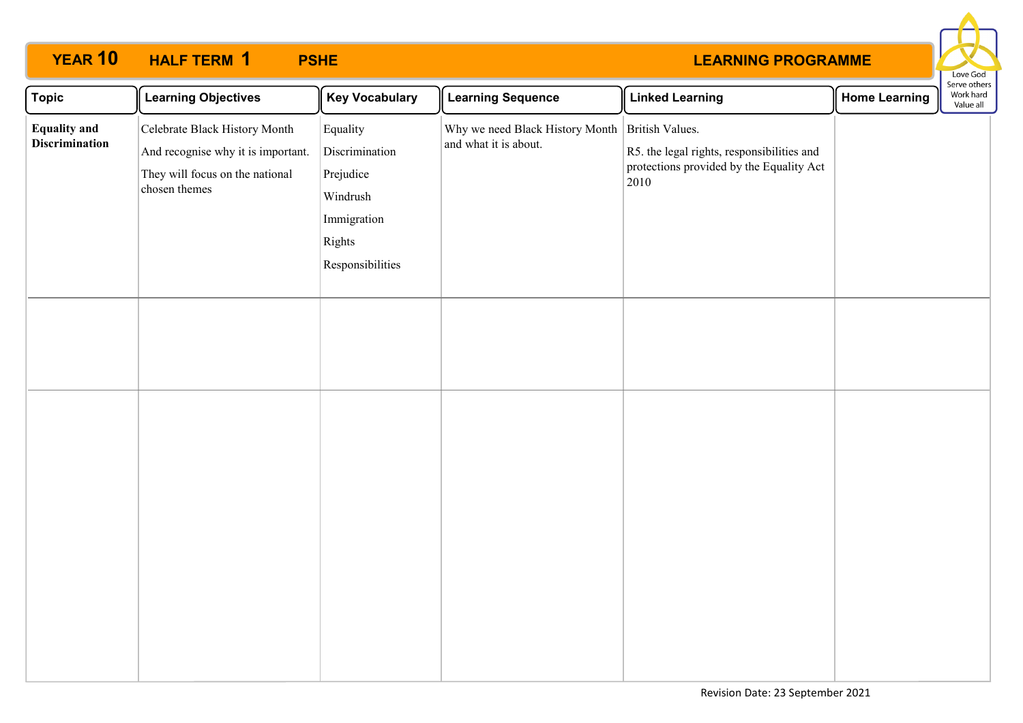

| $\sqrt{\phantom{a}}$ Topic                   | <b>Learning Objectives</b>                                                                                              | <b>Key Vocabulary</b>                                                                            | <b>Learning Sequence</b>                                                 | <b>Linked Learning</b>                                                                         | <b>Home Learning</b> | Serve others<br>Work hard<br>Value all |
|----------------------------------------------|-------------------------------------------------------------------------------------------------------------------------|--------------------------------------------------------------------------------------------------|--------------------------------------------------------------------------|------------------------------------------------------------------------------------------------|----------------------|----------------------------------------|
| <b>Equality and</b><br><b>Discrimination</b> | Celebrate Black History Month<br>And recognise why it is important.<br>They will focus on the national<br>chosen themes | Equality<br>Discrimination<br>Prejudice<br>Windrush<br>Immigration<br>Rights<br>Responsibilities | Why we need Black History Month British Values.<br>and what it is about. | R5. the legal rights, responsibilities and<br>protections provided by the Equality Act<br>2010 |                      |                                        |
|                                              |                                                                                                                         |                                                                                                  |                                                                          |                                                                                                |                      |                                        |
|                                              |                                                                                                                         |                                                                                                  |                                                                          |                                                                                                |                      |                                        |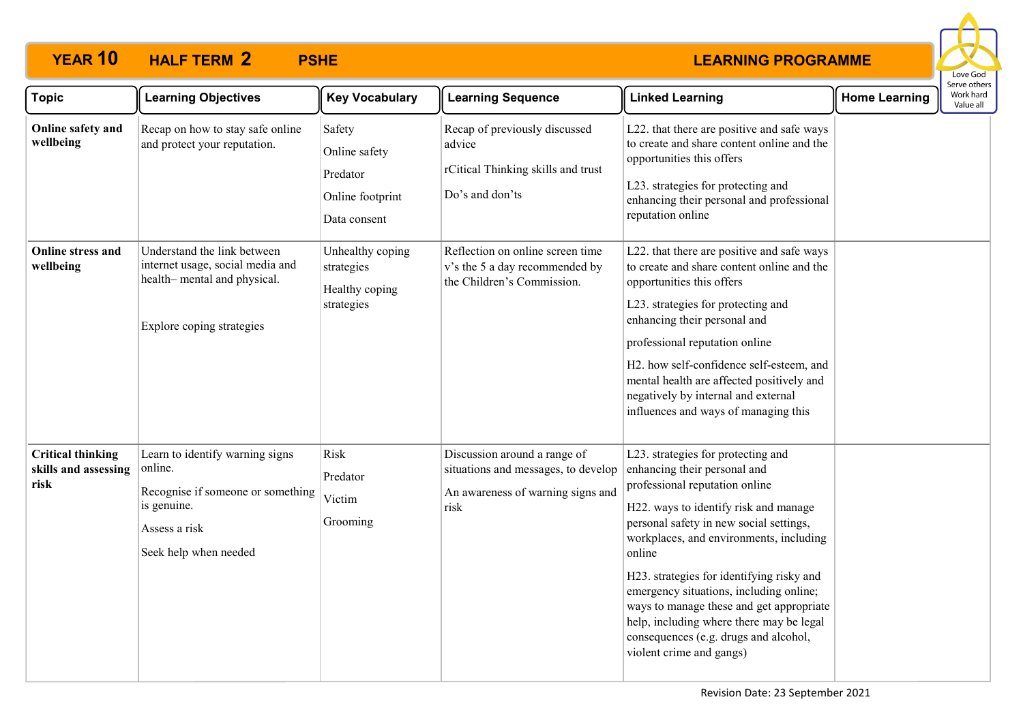

| <b>Topic</b>                                             | <b>Learning Objectives</b>                                                                                                               | <b>Key Vocabulary</b>                                                   | <b>Learning Sequence</b>                                                                                         | <b>Linked Learning</b>                                                                                                                                                                                                                                                                                                                                                                                                                                                                             | <b>Home Learning</b> | Serve others<br>Work hard<br>Value all |
|----------------------------------------------------------|------------------------------------------------------------------------------------------------------------------------------------------|-------------------------------------------------------------------------|------------------------------------------------------------------------------------------------------------------|----------------------------------------------------------------------------------------------------------------------------------------------------------------------------------------------------------------------------------------------------------------------------------------------------------------------------------------------------------------------------------------------------------------------------------------------------------------------------------------------------|----------------------|----------------------------------------|
| Online safety and<br>wellbeing                           | Recap on how to stay safe online<br>and protect your reputation.                                                                         | Safety<br>Online safety<br>Predator<br>Online footprint<br>Data consent | Recap of previously discussed<br>advice<br>rCitical Thinking skills and trust<br>Do's and don'ts                 | L22. that there are positive and safe ways<br>to create and share content online and the<br>opportunities this offers<br>L23. strategies for protecting and<br>enhancing their personal and professional<br>reputation online                                                                                                                                                                                                                                                                      |                      |                                        |
| Online stress and<br>wellbeing                           | Understand the link between<br>internet usage, social media and<br>health-mental and physical.<br>Explore coping strategies              | Unhealthy coping<br>strategies<br>Healthy coping<br>strategies          | Reflection on online screen time<br>v's the 5 a day recommended by<br>the Children's Commission.                 | L22. that there are positive and safe ways<br>to create and share content online and the<br>opportunities this offers<br>L23. strategies for protecting and<br>enhancing their personal and<br>professional reputation online<br>H2. how self-confidence self-esteem, and<br>mental health are affected positively and<br>negatively by internal and external<br>influences and ways of managing this                                                                                              |                      |                                        |
| <b>Critical thinking</b><br>skills and assessing<br>risk | Learn to identify warning signs<br>online.<br>Recognise if someone or something<br>is genuine.<br>Assess a risk<br>Seek help when needed | Risk<br>Predator<br>Victim<br>Grooming                                  | Discussion around a range of<br>situations and messages, to develop<br>An awareness of warning signs and<br>risk | L23. strategies for protecting and<br>enhancing their personal and<br>professional reputation online<br>H22. ways to identify risk and manage<br>personal safety in new social settings,<br>workplaces, and environments, including<br>online<br>H23. strategies for identifying risky and<br>emergency situations, including online;<br>ways to manage these and get appropriate<br>help, including where there may be legal<br>consequences (e.g. drugs and alcohol,<br>violent crime and gangs) |                      |                                        |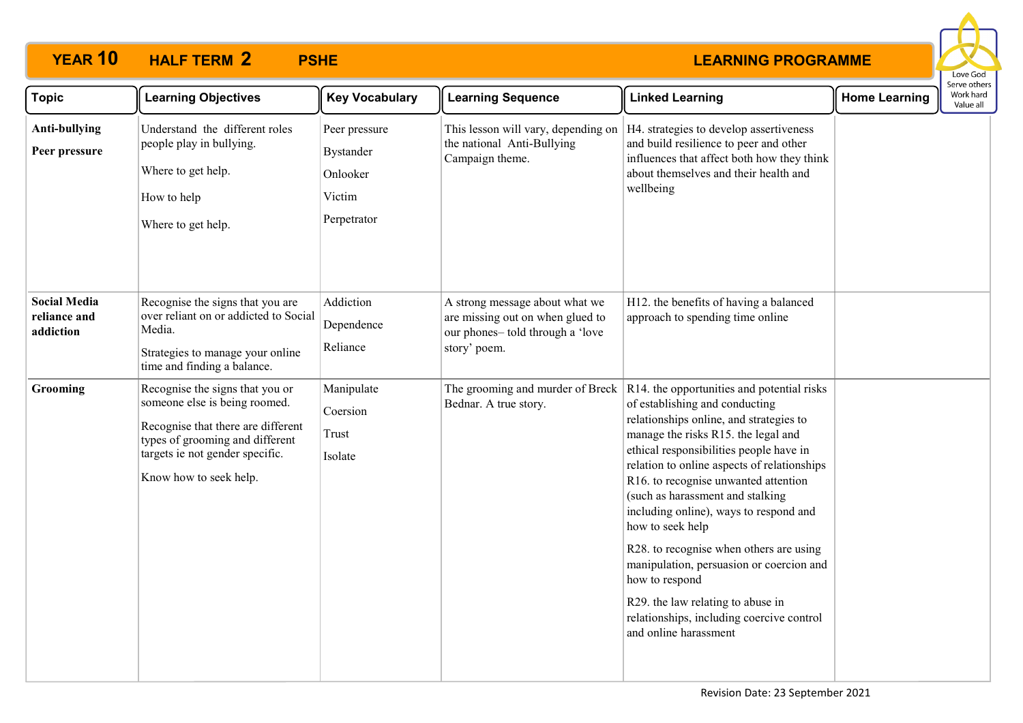

| <b>Topic</b>                                     | <b>Learning Objectives</b>                                                                                                                                                                             | <b>Key Vocabulary</b>                                                  | <b>Learning Sequence</b>                                                                                               | <b>Linked Learning</b>                                                                                                                                                                                                                                                                                                                                                                                                                                                                                                                                                                                                                                          | <b>Home Learning</b> | Serve others<br>Work hard<br>Value all |
|--------------------------------------------------|--------------------------------------------------------------------------------------------------------------------------------------------------------------------------------------------------------|------------------------------------------------------------------------|------------------------------------------------------------------------------------------------------------------------|-----------------------------------------------------------------------------------------------------------------------------------------------------------------------------------------------------------------------------------------------------------------------------------------------------------------------------------------------------------------------------------------------------------------------------------------------------------------------------------------------------------------------------------------------------------------------------------------------------------------------------------------------------------------|----------------------|----------------------------------------|
| Anti-bullying<br>Peer pressure                   | Understand the different roles<br>people play in bullying.<br>Where to get help.<br>How to help<br>Where to get help.                                                                                  | Peer pressure<br><b>Bystander</b><br>Onlooker<br>Victim<br>Perpetrator | This lesson will vary, depending on<br>the national Anti-Bullying<br>Campaign theme.                                   | H4. strategies to develop assertiveness<br>and build resilience to peer and other<br>influences that affect both how they think<br>about themselves and their health and<br>wellbeing                                                                                                                                                                                                                                                                                                                                                                                                                                                                           |                      |                                        |
| <b>Social Media</b><br>reliance and<br>addiction | Recognise the signs that you are<br>over reliant on or addicted to Social<br>Media.<br>Strategies to manage your online<br>time and finding a balance.                                                 | Addiction<br>Dependence<br>Reliance                                    | A strong message about what we<br>are missing out on when glued to<br>our phones- told through a 'love<br>story' poem. | H12. the benefits of having a balanced<br>approach to spending time online                                                                                                                                                                                                                                                                                                                                                                                                                                                                                                                                                                                      |                      |                                        |
| Grooming                                         | Recognise the signs that you or<br>someone else is being roomed.<br>Recognise that there are different<br>types of grooming and different<br>targets ie not gender specific.<br>Know how to seek help. | Manipulate<br>Coersion<br>Trust<br>Isolate                             | Bednar. A true story.                                                                                                  | The grooming and murder of Breck $\vert$ R14. the opportunities and potential risks<br>of establishing and conducting<br>relationships online, and strategies to<br>manage the risks R15. the legal and<br>ethical responsibilities people have in<br>relation to online aspects of relationships<br>R16. to recognise unwanted attention<br>(such as harassment and stalking<br>including online), ways to respond and<br>how to seek help<br>R28. to recognise when others are using<br>manipulation, persuasion or coercion and<br>how to respond<br>R29. the law relating to abuse in<br>relationships, including coercive control<br>and online harassment |                      |                                        |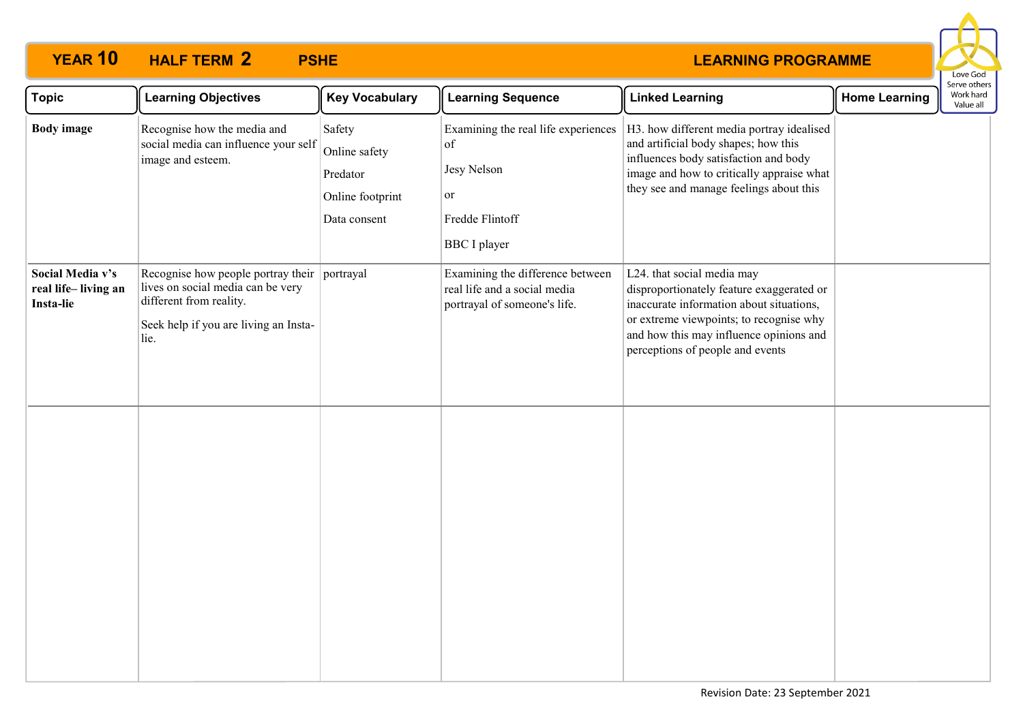

| <b>Topic</b>                                         | <b>Learning Objectives</b>                                                                                                                                    | <b>Key Vocabulary</b>                                                   | <b>Learning Sequence</b>                                                                                 | <b>Linked Learning</b>                                                                                                                                                                                                                        | <b>Home Learning</b> | Serve others<br>Work hard<br>Value all |
|------------------------------------------------------|---------------------------------------------------------------------------------------------------------------------------------------------------------------|-------------------------------------------------------------------------|----------------------------------------------------------------------------------------------------------|-----------------------------------------------------------------------------------------------------------------------------------------------------------------------------------------------------------------------------------------------|----------------------|----------------------------------------|
| <b>Body</b> image                                    | Recognise how the media and<br>social media can influence your self<br>image and esteem.                                                                      | Safety<br>Online safety<br>Predator<br>Online footprint<br>Data consent | Examining the real life experiences<br>of<br>Jesy Nelson<br>or<br>Fredde Flintoff<br><b>BBC</b> I player | H3. how different media portray idealised<br>and artificial body shapes; how this<br>influences body satisfaction and body<br>image and how to critically appraise what<br>they see and manage feelings about this                            |                      |                                        |
| Social Media v's<br>real life-living an<br>Insta-lie | Recognise how people portray their portrayal<br>lives on social media can be very<br>different from reality.<br>Seek help if you are living an Insta-<br>lie. |                                                                         | Examining the difference between<br>real life and a social media<br>portrayal of someone's life.         | L24. that social media may<br>disproportionately feature exaggerated or<br>inaccurate information about situations,<br>or extreme viewpoints; to recognise why<br>and how this may influence opinions and<br>perceptions of people and events |                      |                                        |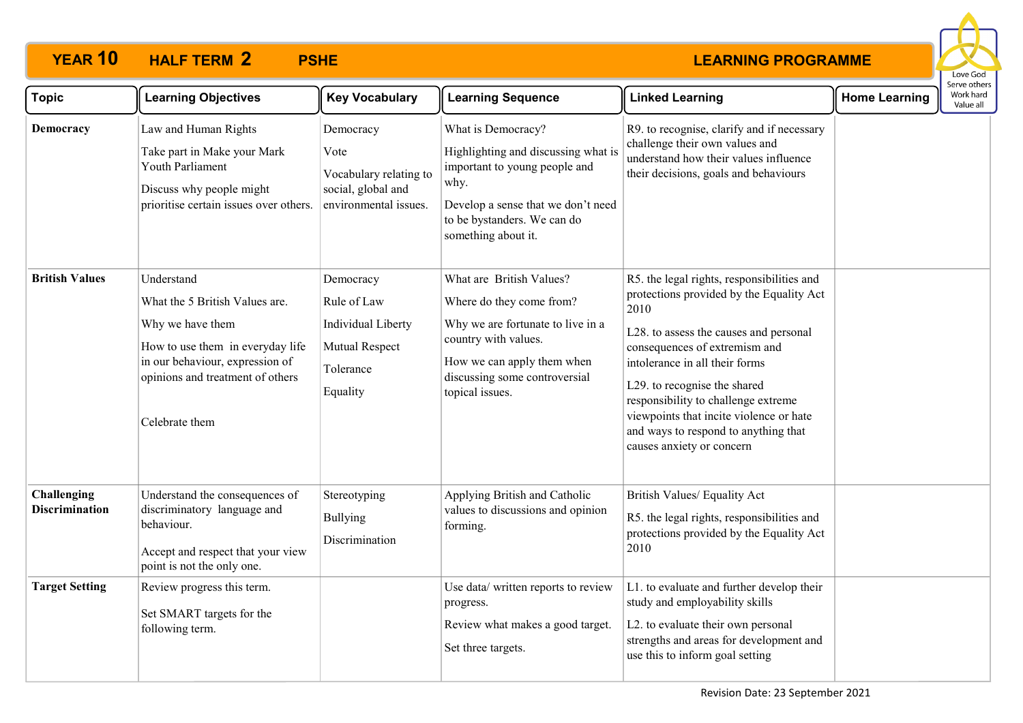

| <b>Topic</b>                         | <b>Learning Objectives</b>                                                                                                                                                                    | <b>Key Vocabulary</b>                                                                      | <b>Learning Sequence</b>                                                                                                                                                                            | <b>Linked Learning</b>                                                                                                                                                                                                                                                                                                                                                                             | <b>Home Learning</b> | Work hard<br>Value all |  |
|--------------------------------------|-----------------------------------------------------------------------------------------------------------------------------------------------------------------------------------------------|--------------------------------------------------------------------------------------------|-----------------------------------------------------------------------------------------------------------------------------------------------------------------------------------------------------|----------------------------------------------------------------------------------------------------------------------------------------------------------------------------------------------------------------------------------------------------------------------------------------------------------------------------------------------------------------------------------------------------|----------------------|------------------------|--|
| Democracy                            | Law and Human Rights<br>Take part in Make your Mark<br>Youth Parliament<br>Discuss why people might<br>prioritise certain issues over others.                                                 | Democracy<br>Vote<br>Vocabulary relating to<br>social, global and<br>environmental issues. | What is Democracy?<br>Highlighting and discussing what is<br>important to young people and<br>why.<br>Develop a sense that we don't need<br>to be bystanders. We can do<br>something about it.      | R9. to recognise, clarify and if necessary<br>challenge their own values and<br>understand how their values influence<br>their decisions, goals and behaviours                                                                                                                                                                                                                                     |                      |                        |  |
| <b>British Values</b>                | Understand<br>What the 5 British Values are.<br>Why we have them<br>How to use them in everyday life<br>in our behaviour, expression of<br>opinions and treatment of others<br>Celebrate them | Democracy<br>Rule of Law<br>Individual Liberty<br>Mutual Respect<br>Tolerance<br>Equality  | What are British Values?<br>Where do they come from?<br>Why we are fortunate to live in a<br>country with values.<br>How we can apply them when<br>discussing some controversial<br>topical issues. | R5. the legal rights, responsibilities and<br>protections provided by the Equality Act<br>2010<br>L28. to assess the causes and personal<br>consequences of extremism and<br>intolerance in all their forms<br>L29. to recognise the shared<br>responsibility to challenge extreme<br>viewpoints that incite violence or hate<br>and ways to respond to anything that<br>causes anxiety or concern |                      |                        |  |
| Challenging<br><b>Discrimination</b> | Understand the consequences of<br>discriminatory language and<br>behaviour.<br>Accept and respect that your view<br>point is not the only one.                                                | Stereotyping<br><b>Bullying</b><br>Discrimination                                          | Applying British and Catholic<br>values to discussions and opinion<br>forming.                                                                                                                      | British Values/ Equality Act<br>R5. the legal rights, responsibilities and<br>protections provided by the Equality Act<br>2010                                                                                                                                                                                                                                                                     |                      |                        |  |
| <b>Target Setting</b>                | Review progress this term.<br>Set SMART targets for the<br>following term.                                                                                                                    |                                                                                            | Use data/ written reports to review<br>progress.<br>Review what makes a good target.<br>Set three targets.                                                                                          | L1. to evaluate and further develop their<br>study and employability skills<br>L2. to evaluate their own personal<br>strengths and areas for development and<br>use this to inform goal setting                                                                                                                                                                                                    |                      |                        |  |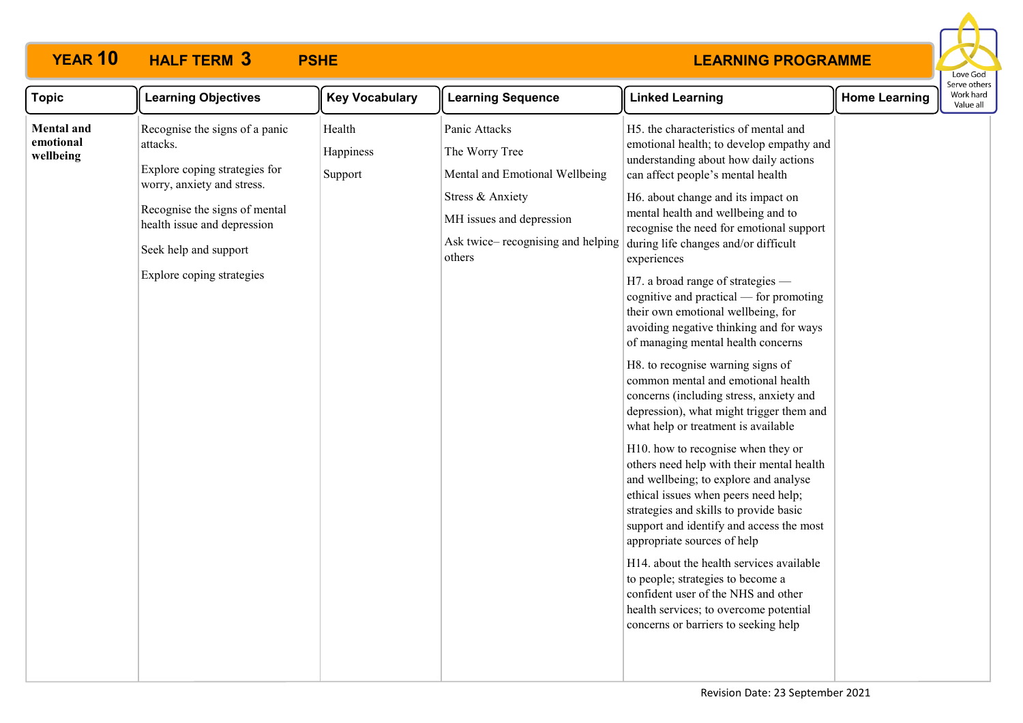

| <b>Topic</b>                                | <b>Learning Objectives</b>                                                                                                                                                                                                      | <b>Key Vocabulary</b>          | <b>Learning Sequence</b>                                                                                                                                          | <b>Linked Learning</b>                                                                                                                                                                                                                                                                                                                                                                                                                                                                                                                                                                                                                                                                                                                                                                                                                                                                                                                                                                                                                                                                                                                                                                                                                                            | <b>Home Learning</b> | serve otrier<br>Work hard<br>Value all |
|---------------------------------------------|---------------------------------------------------------------------------------------------------------------------------------------------------------------------------------------------------------------------------------|--------------------------------|-------------------------------------------------------------------------------------------------------------------------------------------------------------------|-------------------------------------------------------------------------------------------------------------------------------------------------------------------------------------------------------------------------------------------------------------------------------------------------------------------------------------------------------------------------------------------------------------------------------------------------------------------------------------------------------------------------------------------------------------------------------------------------------------------------------------------------------------------------------------------------------------------------------------------------------------------------------------------------------------------------------------------------------------------------------------------------------------------------------------------------------------------------------------------------------------------------------------------------------------------------------------------------------------------------------------------------------------------------------------------------------------------------------------------------------------------|----------------------|----------------------------------------|
| <b>Mental</b> and<br>emotional<br>wellbeing | Recognise the signs of a panic<br>attacks.<br>Explore coping strategies for<br>worry, anxiety and stress.<br>Recognise the signs of mental<br>health issue and depression<br>Seek help and support<br>Explore coping strategies | Health<br>Happiness<br>Support | Panic Attacks<br>The Worry Tree<br>Mental and Emotional Wellbeing<br>Stress & Anxiety<br>MH issues and depression<br>Ask twice– recognising and helping<br>others | H5. the characteristics of mental and<br>emotional health; to develop empathy and<br>understanding about how daily actions<br>can affect people's mental health<br>H6. about change and its impact on<br>mental health and wellbeing and to<br>recognise the need for emotional support<br>during life changes and/or difficult<br>experiences<br>H7. a broad range of strategies —<br>cognitive and practical — for promoting<br>their own emotional wellbeing, for<br>avoiding negative thinking and for ways<br>of managing mental health concerns<br>H8. to recognise warning signs of<br>common mental and emotional health<br>concerns (including stress, anxiety and<br>depression), what might trigger them and<br>what help or treatment is available<br>H10. how to recognise when they or<br>others need help with their mental health<br>and wellbeing; to explore and analyse<br>ethical issues when peers need help;<br>strategies and skills to provide basic<br>support and identify and access the most<br>appropriate sources of help<br>H14. about the health services available<br>to people; strategies to become a<br>confident user of the NHS and other<br>health services; to overcome potential<br>concerns or barriers to seeking help |                      |                                        |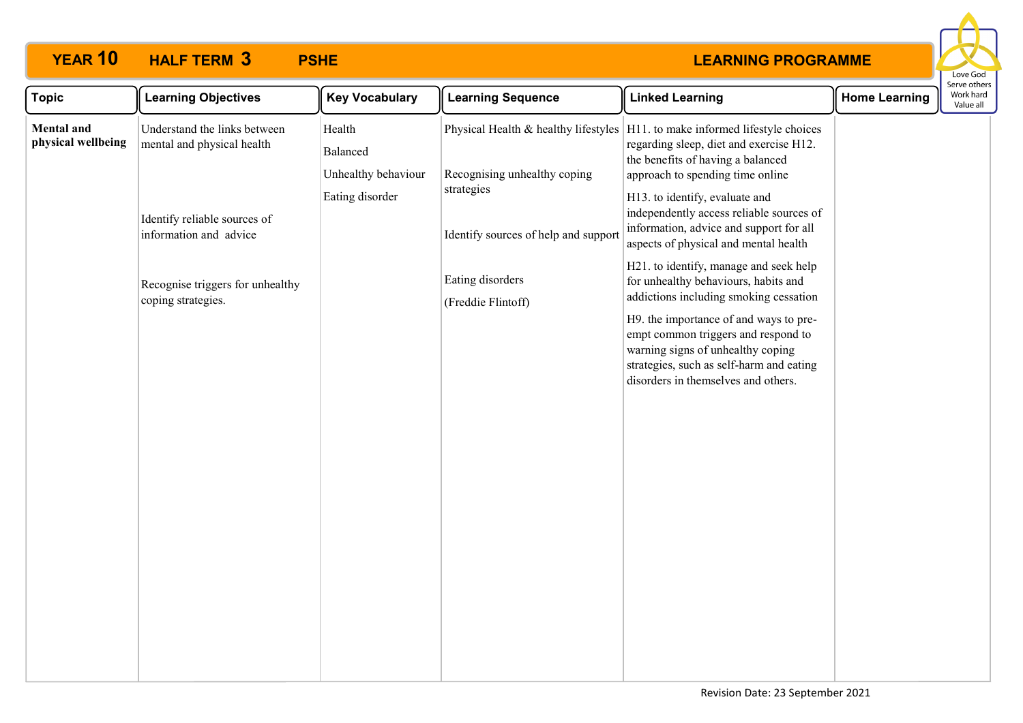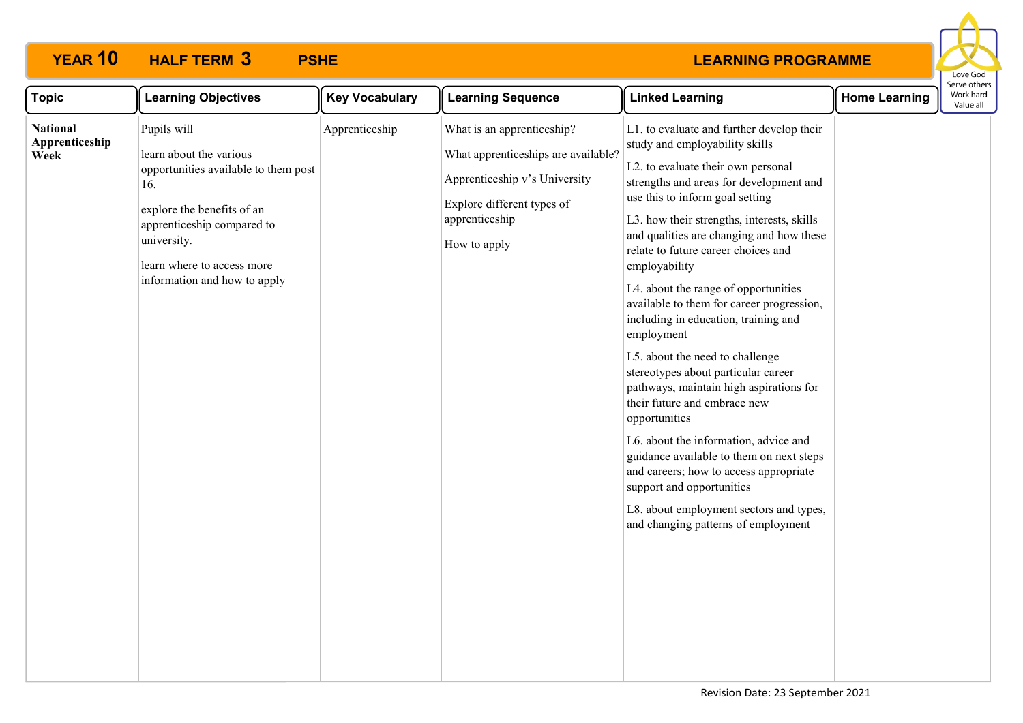#### **LEARNING PROGRAMME**

Love God

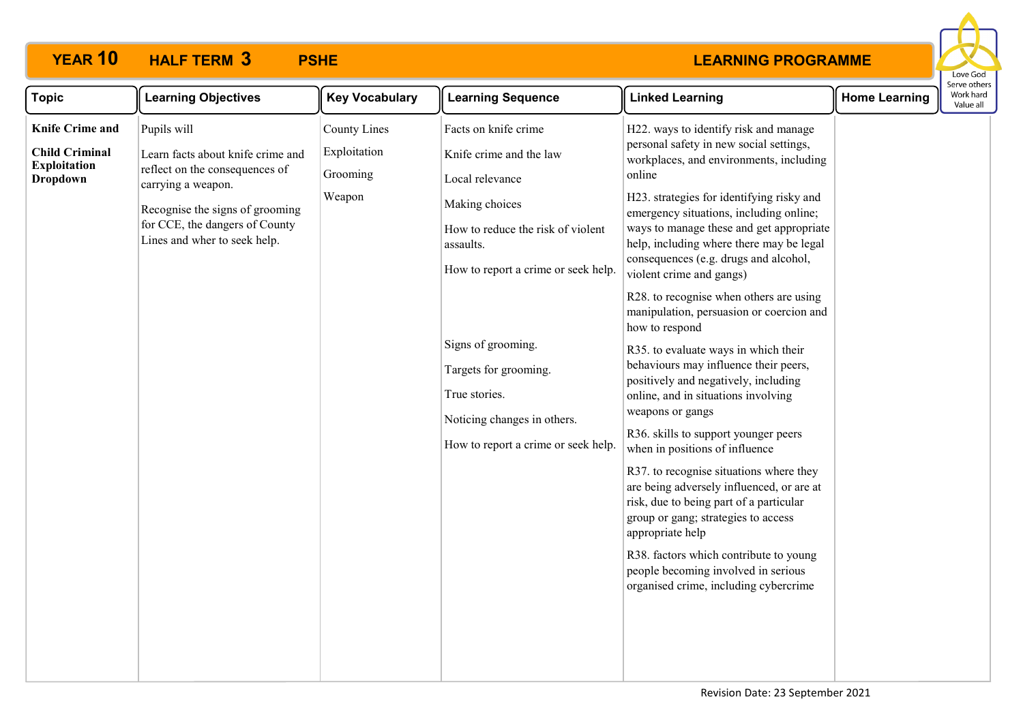

| <b>Topic</b>                                                                              | <b>Learning Objectives</b>                                                                                                                                                                                    | <b>Key Vocabulary</b>                                     | <b>Learning Sequence</b>                                                                                                                                                                                                                                                                                            | <b>Linked Learning</b>                                                                                                                                                                                                                                                                                                                                                                                                                                                                                                                                                                                                                                                                                                                                                                                                                                                                                                                                                                                                                                                                    | <b>Home Learning</b> | serve others<br>Work hard<br>Value all |
|-------------------------------------------------------------------------------------------|---------------------------------------------------------------------------------------------------------------------------------------------------------------------------------------------------------------|-----------------------------------------------------------|---------------------------------------------------------------------------------------------------------------------------------------------------------------------------------------------------------------------------------------------------------------------------------------------------------------------|-------------------------------------------------------------------------------------------------------------------------------------------------------------------------------------------------------------------------------------------------------------------------------------------------------------------------------------------------------------------------------------------------------------------------------------------------------------------------------------------------------------------------------------------------------------------------------------------------------------------------------------------------------------------------------------------------------------------------------------------------------------------------------------------------------------------------------------------------------------------------------------------------------------------------------------------------------------------------------------------------------------------------------------------------------------------------------------------|----------------------|----------------------------------------|
| <b>Knife Crime and</b><br><b>Child Criminal</b><br><b>Exploitation</b><br><b>Dropdown</b> | Pupils will<br>Learn facts about knife crime and<br>reflect on the consequences of<br>carrying a weapon.<br>Recognise the signs of grooming<br>for CCE, the dangers of County<br>Lines and wher to seek help. | <b>County Lines</b><br>Exploitation<br>Grooming<br>Weapon | Facts on knife crime<br>Knife crime and the law<br>Local relevance<br>Making choices<br>How to reduce the risk of violent<br>assaults.<br>How to report a crime or seek help.<br>Signs of grooming.<br>Targets for grooming.<br>True stories.<br>Noticing changes in others.<br>How to report a crime or seek help. | H22. ways to identify risk and manage<br>personal safety in new social settings,<br>workplaces, and environments, including<br>online<br>H23. strategies for identifying risky and<br>emergency situations, including online;<br>ways to manage these and get appropriate<br>help, including where there may be legal<br>consequences (e.g. drugs and alcohol,<br>violent crime and gangs)<br>R28. to recognise when others are using<br>manipulation, persuasion or coercion and<br>how to respond<br>R35. to evaluate ways in which their<br>behaviours may influence their peers,<br>positively and negatively, including<br>online, and in situations involving<br>weapons or gangs<br>R36. skills to support younger peers<br>when in positions of influence<br>R37. to recognise situations where they<br>are being adversely influenced, or are at<br>risk, due to being part of a particular<br>group or gang; strategies to access<br>appropriate help<br>R38. factors which contribute to young<br>people becoming involved in serious<br>organised crime, including cybercrime |                      |                                        |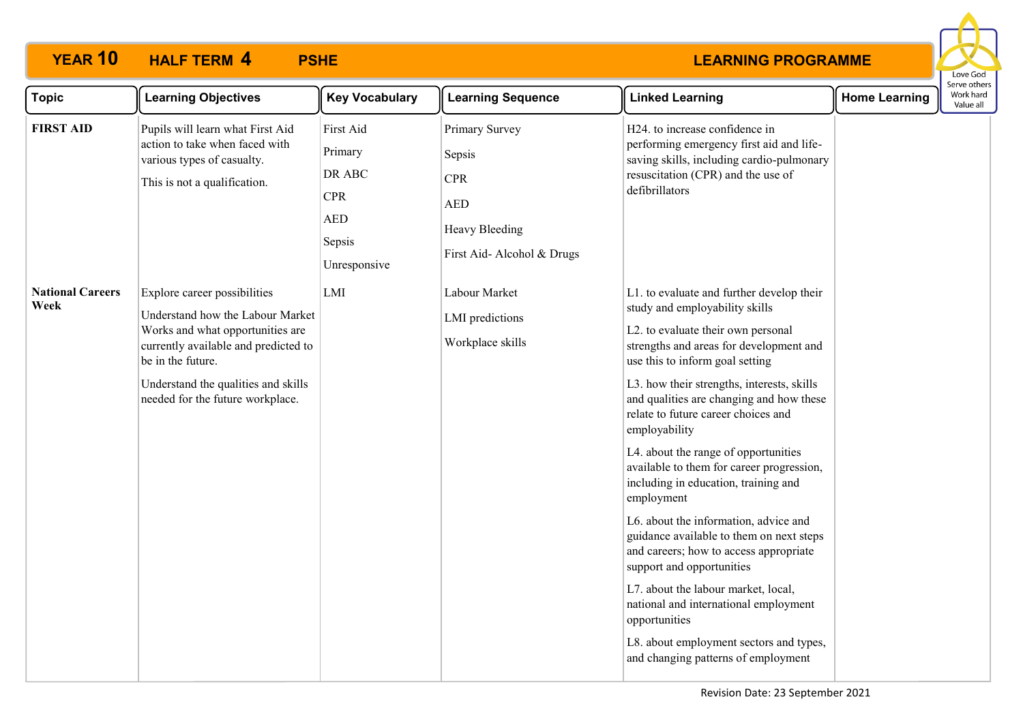

| <b>Topic</b>                    | <b>Learning Objectives</b>                                                                                                                                                                                                                   | <b>Key Vocabulary</b>                                                                | <b>Learning Sequence</b>                                                                             | <b>Linked Learning</b>                                                                                                                                                                                                                                                                                                                                                                                                                                                                                                                                                                                                                                                                                                                                                                                                                      | <b>Home Learning</b> | Serve others<br>Work hard<br>Value all |
|---------------------------------|----------------------------------------------------------------------------------------------------------------------------------------------------------------------------------------------------------------------------------------------|--------------------------------------------------------------------------------------|------------------------------------------------------------------------------------------------------|---------------------------------------------------------------------------------------------------------------------------------------------------------------------------------------------------------------------------------------------------------------------------------------------------------------------------------------------------------------------------------------------------------------------------------------------------------------------------------------------------------------------------------------------------------------------------------------------------------------------------------------------------------------------------------------------------------------------------------------------------------------------------------------------------------------------------------------------|----------------------|----------------------------------------|
| <b>FIRST AID</b>                | Pupils will learn what First Aid<br>action to take when faced with<br>various types of casualty.<br>This is not a qualification.                                                                                                             | First Aid<br>Primary<br>DR ABC<br><b>CPR</b><br><b>AED</b><br>Sepsis<br>Unresponsive | Primary Survey<br>Sepsis<br><b>CPR</b><br><b>AED</b><br>Heavy Bleeding<br>First Aid- Alcohol & Drugs | H24. to increase confidence in<br>performing emergency first aid and life-<br>saving skills, including cardio-pulmonary<br>resuscitation (CPR) and the use of<br>defibrillators                                                                                                                                                                                                                                                                                                                                                                                                                                                                                                                                                                                                                                                             |                      |                                        |
| <b>National Careers</b><br>Week | Explore career possibilities<br>Understand how the Labour Market<br>Works and what opportunities are<br>currently available and predicted to<br>be in the future.<br>Understand the qualities and skills<br>needed for the future workplace. | LMI                                                                                  | Labour Market<br>LMI predictions<br>Workplace skills                                                 | L1. to evaluate and further develop their<br>study and employability skills<br>L2. to evaluate their own personal<br>strengths and areas for development and<br>use this to inform goal setting<br>L3. how their strengths, interests, skills<br>and qualities are changing and how these<br>relate to future career choices and<br>employability<br>L4. about the range of opportunities<br>available to them for career progression,<br>including in education, training and<br>employment<br>L6. about the information, advice and<br>guidance available to them on next steps<br>and careers; how to access appropriate<br>support and opportunities<br>L7. about the labour market, local,<br>national and international employment<br>opportunities<br>L8. about employment sectors and types,<br>and changing patterns of employment |                      |                                        |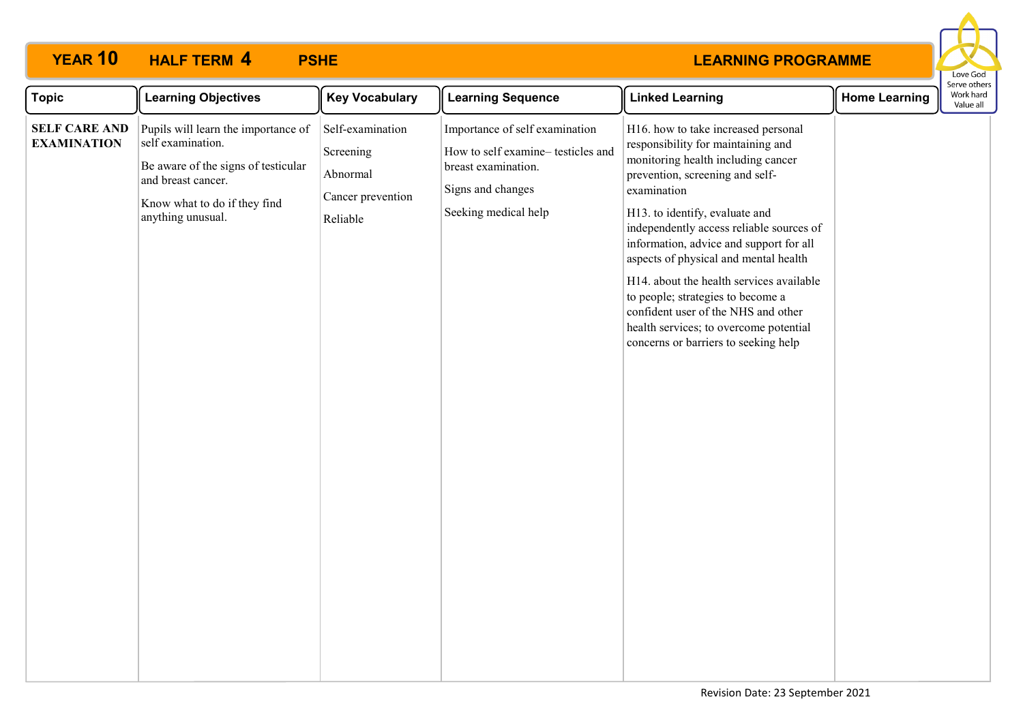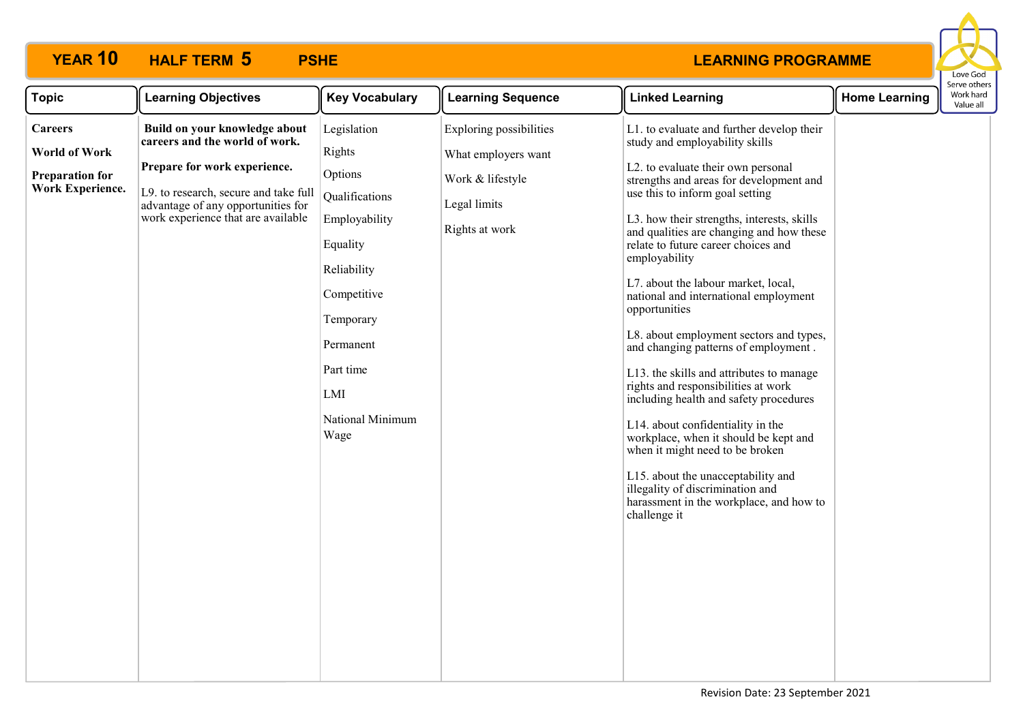

| Legislation<br><b>Exploring possibilities</b><br>Build on your knowledge about<br>L1. to evaluate and further develop their<br><b>Careers</b><br>careers and the world of work.<br>study and employability skills<br>Rights<br><b>World of Work</b><br>What employers want<br>Prepare for work experience.<br>L2. to evaluate their own personal<br>Options<br><b>Preparation for</b><br>Work & lifestyle<br>strengths and areas for development and<br><b>Work Experience.</b><br>use this to inform goal setting<br>L9. to research, secure and take full<br>Qualifications<br>Legal limits<br>advantage of any opportunities for<br>work experience that are available<br>L3. how their strengths, interests, skills<br>Employability<br>Rights at work<br>and qualities are changing and how these<br>relate to future career choices and<br>Equality<br>employability<br>Reliability<br>L7. about the labour market, local,<br>Competitive<br>national and international employment<br>opportunities<br>Temporary<br>L8. about employment sectors and types,<br>Permanent<br>and changing patterns of employment.<br>Part time<br>L13. the skills and attributes to manage<br>rights and responsibilities at work<br>LMI<br>including health and safety procedures<br>National Minimum<br>L14. about confidentiality in the<br>Wage<br>workplace, when it should be kept and<br>when it might need to be broken<br>L15. about the unacceptability and<br>illegality of discrimination and<br>harassment in the workplace, and how to<br>challenge it | <b>Topic</b> | <b>Learning Objectives</b> | <b>Key Vocabulary</b> | <b>Learning Sequence</b> | <b>Linked Learning</b> | <b>Home Learning</b> | Serve other<br>Work hard<br>Value all |
|-----------------------------------------------------------------------------------------------------------------------------------------------------------------------------------------------------------------------------------------------------------------------------------------------------------------------------------------------------------------------------------------------------------------------------------------------------------------------------------------------------------------------------------------------------------------------------------------------------------------------------------------------------------------------------------------------------------------------------------------------------------------------------------------------------------------------------------------------------------------------------------------------------------------------------------------------------------------------------------------------------------------------------------------------------------------------------------------------------------------------------------------------------------------------------------------------------------------------------------------------------------------------------------------------------------------------------------------------------------------------------------------------------------------------------------------------------------------------------------------------------------------------------------------------------------|--------------|----------------------------|-----------------------|--------------------------|------------------------|----------------------|---------------------------------------|
|                                                                                                                                                                                                                                                                                                                                                                                                                                                                                                                                                                                                                                                                                                                                                                                                                                                                                                                                                                                                                                                                                                                                                                                                                                                                                                                                                                                                                                                                                                                                                           |              |                            |                       |                          |                        |                      |                                       |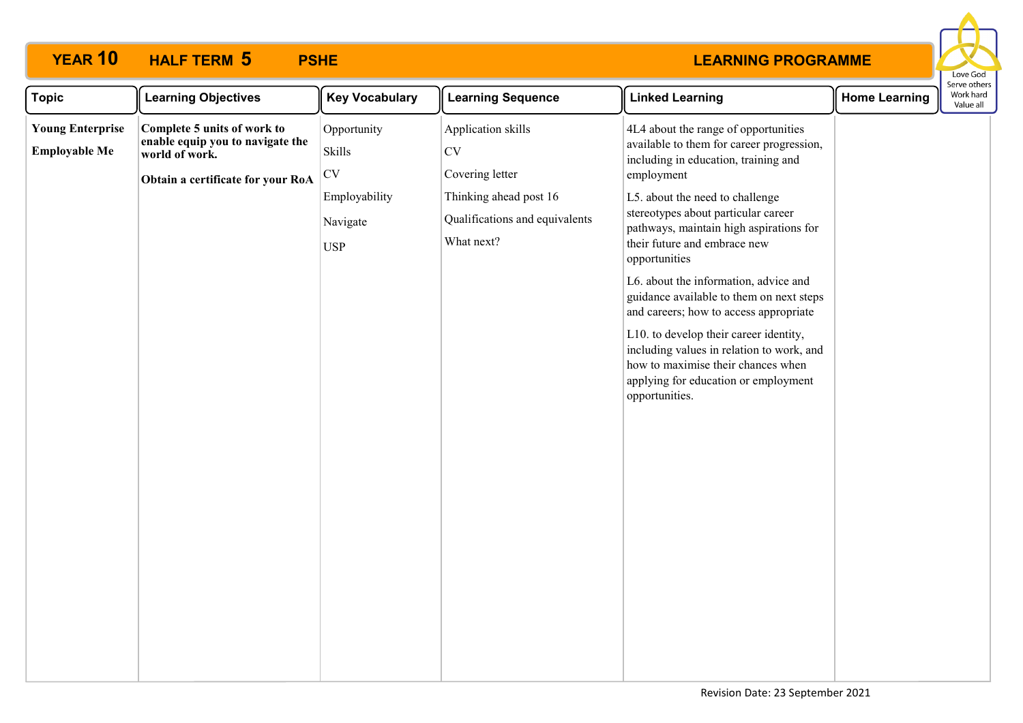

| <b>Topic</b>                                    | <b>Learning Objectives</b>                                                        | <b>Key Vocabulary</b>                   | <b>Learning Sequence</b>                                               | <b>Linked Learning</b>                                                                                                                                                                                                                                                                                                                                                                                                                                                                   | <b>Home Learning</b> | Serve others<br>Work hard<br>Value all |
|-------------------------------------------------|-----------------------------------------------------------------------------------|-----------------------------------------|------------------------------------------------------------------------|------------------------------------------------------------------------------------------------------------------------------------------------------------------------------------------------------------------------------------------------------------------------------------------------------------------------------------------------------------------------------------------------------------------------------------------------------------------------------------------|----------------------|----------------------------------------|
| <b>Young Enterprise</b><br><b>Employable Me</b> | Complete 5 units of work to<br>enable equip you to navigate the<br>world of work. | Opportunity<br>Skills<br>$\mathrm{CV}$  | Application skills<br><b>CV</b><br>Covering letter                     | 4L4 about the range of opportunities<br>available to them for career progression,<br>including in education, training and<br>employment                                                                                                                                                                                                                                                                                                                                                  |                      |                                        |
|                                                 | Obtain a certificate for your RoA                                                 | Employability<br>Navigate<br><b>USP</b> | Thinking ahead post 16<br>Qualifications and equivalents<br>What next? | L5. about the need to challenge<br>stereotypes about particular career<br>pathways, maintain high aspirations for<br>their future and embrace new<br>opportunities<br>L6. about the information, advice and<br>guidance available to them on next steps<br>and careers; how to access appropriate<br>L10. to develop their career identity,<br>including values in relation to work, and<br>how to maximise their chances when<br>applying for education or employment<br>opportunities. |                      |                                        |
|                                                 |                                                                                   |                                         |                                                                        |                                                                                                                                                                                                                                                                                                                                                                                                                                                                                          |                      |                                        |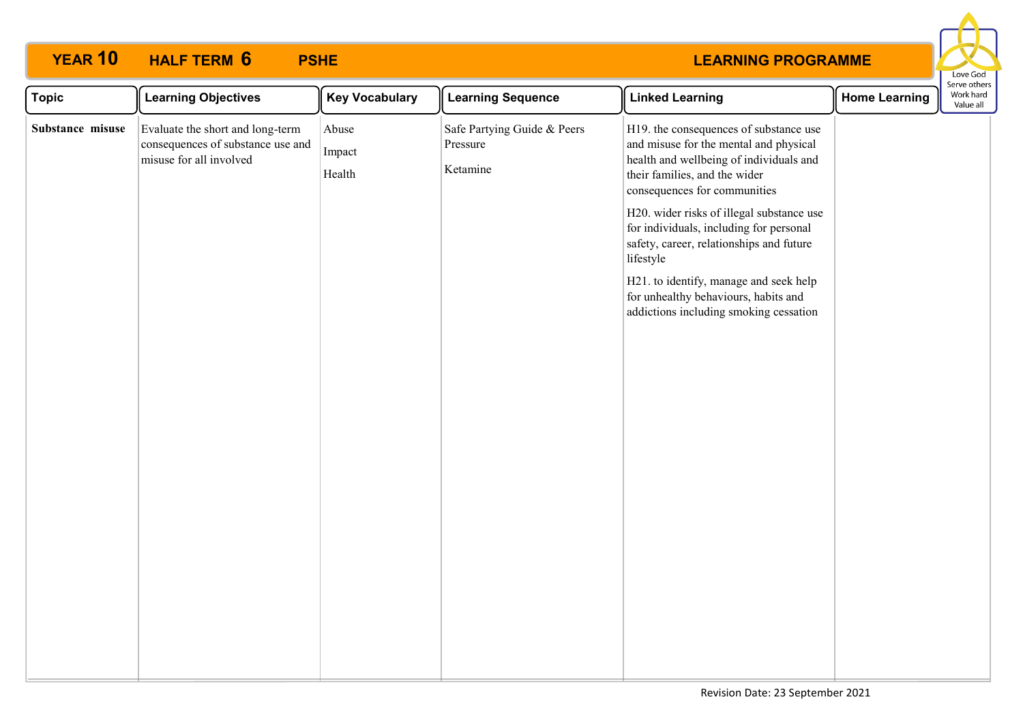

| <b>Topic</b>     | <b>Learning Objectives</b>                                                                       | <b>Key Vocabulary</b>     | <b>Learning Sequence</b>                            | <b>Linked Learning</b>                                                                                                                                                                                                                                                                                                                                                                                                                                                    | <b>Home Learning</b> | Serve others<br>Work hard<br>Value all |
|------------------|--------------------------------------------------------------------------------------------------|---------------------------|-----------------------------------------------------|---------------------------------------------------------------------------------------------------------------------------------------------------------------------------------------------------------------------------------------------------------------------------------------------------------------------------------------------------------------------------------------------------------------------------------------------------------------------------|----------------------|----------------------------------------|
| Substance misuse | Evaluate the short and long-term<br>consequences of substance use and<br>misuse for all involved | Abuse<br>Impact<br>Health | Safe Partying Guide & Peers<br>Pressure<br>Ketamine | H19. the consequences of substance use<br>and misuse for the mental and physical<br>health and wellbeing of individuals and<br>their families, and the wider<br>consequences for communities<br>H20. wider risks of illegal substance use<br>for individuals, including for personal<br>safety, career, relationships and future<br>lifestyle<br>H21. to identify, manage and seek help<br>for unhealthy behaviours, habits and<br>addictions including smoking cessation |                      |                                        |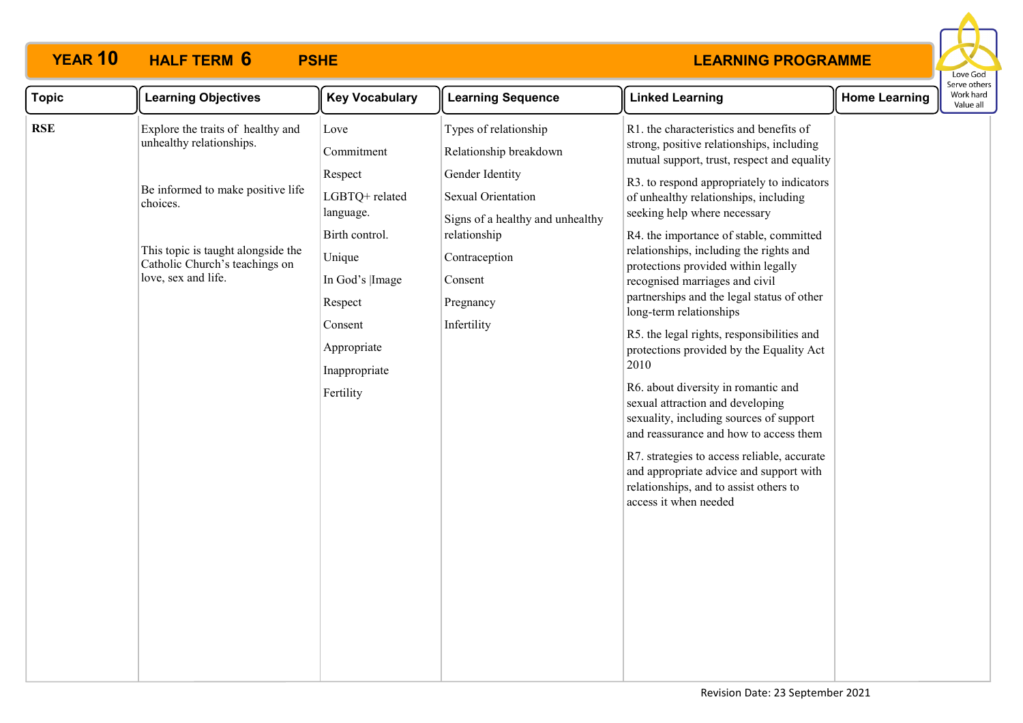

| <b>Topic</b><br><b>Key Vocabulary</b><br><b>Learning Objectives</b><br><b>Learning Sequence</b><br><b>Linked Learning</b><br><b>Home Learning</b>                                                                                                                                                                                                                                                                                                                                                                                                                                                                                                                                                                                                                                                                                                                                                                                                                                                                                                                                                                                                                                                                                                                                                                                                                                                                                                                                                                                                          | Serve other:<br>Work hard<br>Value all |
|------------------------------------------------------------------------------------------------------------------------------------------------------------------------------------------------------------------------------------------------------------------------------------------------------------------------------------------------------------------------------------------------------------------------------------------------------------------------------------------------------------------------------------------------------------------------------------------------------------------------------------------------------------------------------------------------------------------------------------------------------------------------------------------------------------------------------------------------------------------------------------------------------------------------------------------------------------------------------------------------------------------------------------------------------------------------------------------------------------------------------------------------------------------------------------------------------------------------------------------------------------------------------------------------------------------------------------------------------------------------------------------------------------------------------------------------------------------------------------------------------------------------------------------------------------|----------------------------------------|
| <b>RSE</b><br>Explore the traits of healthy and<br>Types of relationship<br>R1. the characteristics and benefits of<br>Love<br>unhealthy relationships.<br>strong, positive relationships, including<br>Relationship breakdown<br>Commitment<br>mutual support, trust, respect and equality<br>Gender Identity<br>Respect<br>R3. to respond appropriately to indicators<br>Be informed to make positive life<br>LGBTQ+ related<br>Sexual Orientation<br>of unhealthy relationships, including<br>choices.<br>seeking help where necessary<br>language.<br>Signs of a healthy and unhealthy<br>Birth control.<br>relationship<br>R4. the importance of stable, committed<br>This topic is taught alongside the<br>relationships, including the rights and<br>Unique<br>Contraception<br>Catholic Church's teachings on<br>protections provided within legally<br>love, sex and life.<br>In God's  Image<br>Consent<br>recognised marriages and civil<br>partnerships and the legal status of other<br>Respect<br>Pregnancy<br>long-term relationships<br>Infertility<br>Consent<br>R5. the legal rights, responsibilities and<br>Appropriate<br>protections provided by the Equality Act<br>2010<br>Inappropriate<br>R6. about diversity in romantic and<br>Fertility<br>sexual attraction and developing<br>sexuality, including sources of support<br>and reassurance and how to access them<br>R7. strategies to access reliable, accurate<br>and appropriate advice and support with<br>relationships, and to assist others to<br>access it when needed |                                        |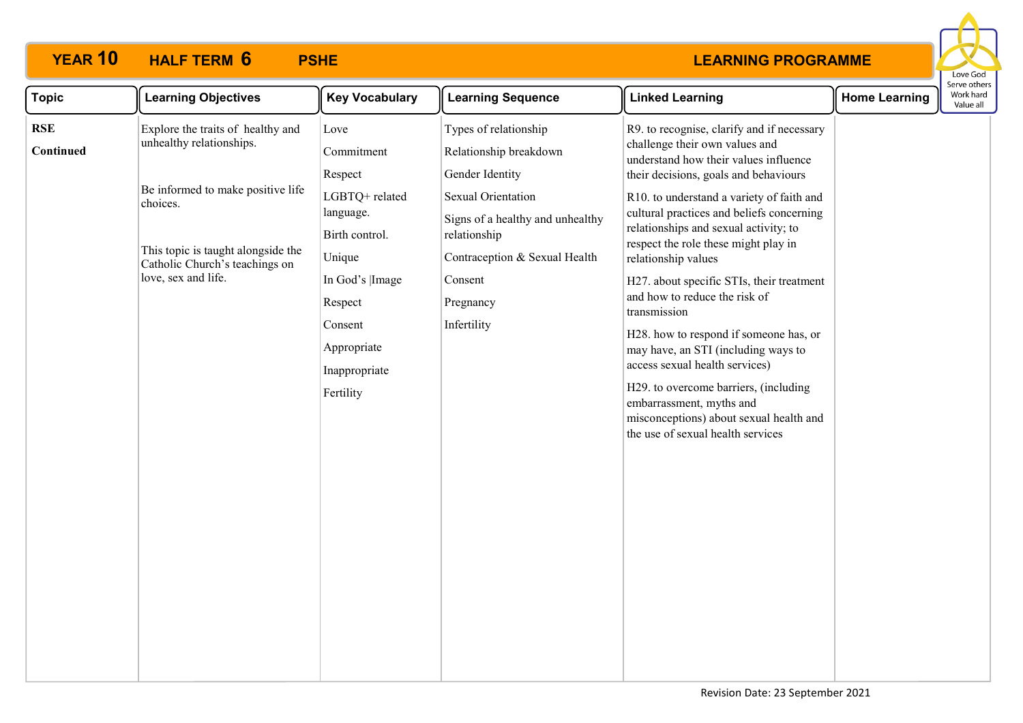

| <b>Topic</b>            | <b>Learning Objectives</b>                                                                                                                                                                                    | <b>Key Vocabulary</b>                                                                                                                                                          | <b>Learning Sequence</b>                                                                                                                                                                                             | <b>Linked Learning</b>                                                                                                                                                                                                                                                                                                                                                                                                                                                                                                                                                                                                                                                                                                                 | <b>Home Learning</b> | Serve othei<br>Work hard<br>Value all |
|-------------------------|---------------------------------------------------------------------------------------------------------------------------------------------------------------------------------------------------------------|--------------------------------------------------------------------------------------------------------------------------------------------------------------------------------|----------------------------------------------------------------------------------------------------------------------------------------------------------------------------------------------------------------------|----------------------------------------------------------------------------------------------------------------------------------------------------------------------------------------------------------------------------------------------------------------------------------------------------------------------------------------------------------------------------------------------------------------------------------------------------------------------------------------------------------------------------------------------------------------------------------------------------------------------------------------------------------------------------------------------------------------------------------------|----------------------|---------------------------------------|
| <b>RSE</b><br>Continued | Explore the traits of healthy and<br>unhealthy relationships.<br>Be informed to make positive life<br>choices.<br>This topic is taught alongside the<br>Catholic Church's teachings on<br>love, sex and life. | Love<br>Commitment<br>Respect<br>LGBTQ+ related<br>language.<br>Birth control.<br>Unique<br>In God's  Image<br>Respect<br>Consent<br>Appropriate<br>Inappropriate<br>Fertility | Types of relationship<br>Relationship breakdown<br>Gender Identity<br>Sexual Orientation<br>Signs of a healthy and unhealthy<br>relationship<br>Contraception & Sexual Health<br>Consent<br>Pregnancy<br>Infertility | R9. to recognise, clarify and if necessary<br>challenge their own values and<br>understand how their values influence<br>their decisions, goals and behaviours<br>R10. to understand a variety of faith and<br>cultural practices and beliefs concerning<br>relationships and sexual activity; to<br>respect the role these might play in<br>relationship values<br>H27. about specific STIs, their treatment<br>and how to reduce the risk of<br>transmission<br>H28. how to respond if someone has, or<br>may have, an STI (including ways to<br>access sexual health services)<br>H29. to overcome barriers, (including<br>embarrassment, myths and<br>misconceptions) about sexual health and<br>the use of sexual health services |                      |                                       |
|                         |                                                                                                                                                                                                               |                                                                                                                                                                                |                                                                                                                                                                                                                      |                                                                                                                                                                                                                                                                                                                                                                                                                                                                                                                                                                                                                                                                                                                                        |                      |                                       |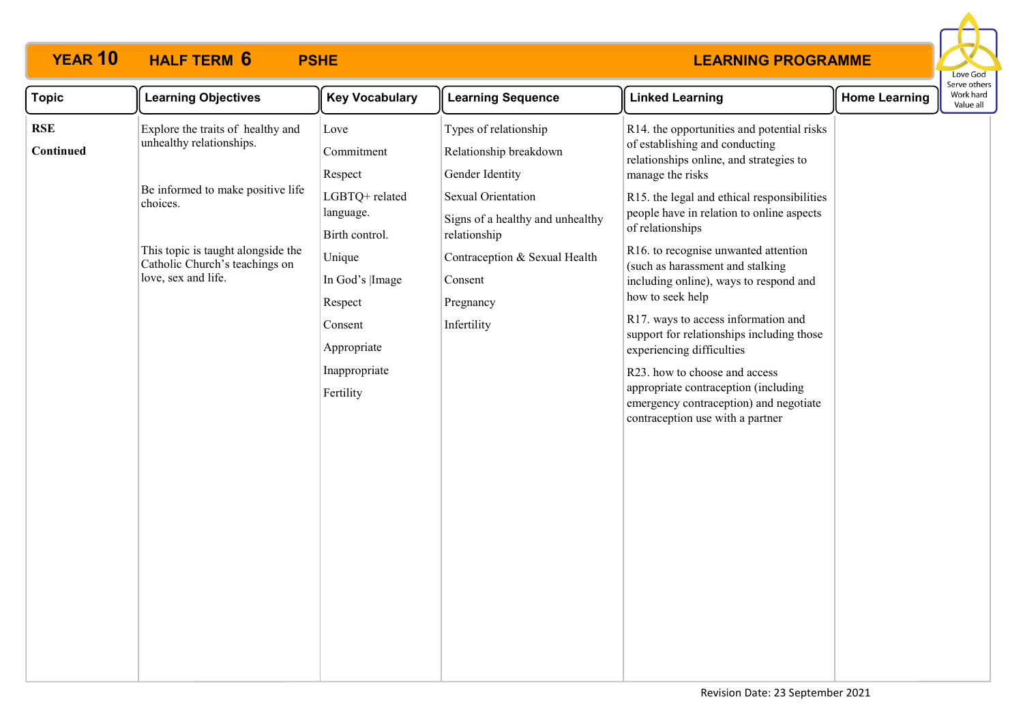

| <b>Topic</b>     | <b>Learning Objectives</b>                                                                                                                                                                                    | <b>Key Vocabulary</b>                                                                                                                                                          | <b>Learning Sequence</b>                                                                                                                                                                                             | <b>Linked Learning</b>                                                                                                                                                                                                                                                                                                                                                                                                                                                                                                                                                                                                                    | <b>Home Learning</b> | Work hard<br>Value all |
|------------------|---------------------------------------------------------------------------------------------------------------------------------------------------------------------------------------------------------------|--------------------------------------------------------------------------------------------------------------------------------------------------------------------------------|----------------------------------------------------------------------------------------------------------------------------------------------------------------------------------------------------------------------|-------------------------------------------------------------------------------------------------------------------------------------------------------------------------------------------------------------------------------------------------------------------------------------------------------------------------------------------------------------------------------------------------------------------------------------------------------------------------------------------------------------------------------------------------------------------------------------------------------------------------------------------|----------------------|------------------------|
| RSE<br>Continued | Explore the traits of healthy and<br>unhealthy relationships.<br>Be informed to make positive life<br>choices.<br>This topic is taught alongside the<br>Catholic Church's teachings on<br>love, sex and life. | Love<br>Commitment<br>Respect<br>LGBTQ+ related<br>language.<br>Birth control.<br>Unique<br>In God's  Image<br>Respect<br>Consent<br>Appropriate<br>Inappropriate<br>Fertility | Types of relationship<br>Relationship breakdown<br>Gender Identity<br>Sexual Orientation<br>Signs of a healthy and unhealthy<br>relationship<br>Contraception & Sexual Health<br>Consent<br>Pregnancy<br>Infertility | R14. the opportunities and potential risks<br>of establishing and conducting<br>relationships online, and strategies to<br>manage the risks<br>R15. the legal and ethical responsibilities<br>people have in relation to online aspects<br>of relationships<br>R16. to recognise unwanted attention<br>(such as harassment and stalking<br>including online), ways to respond and<br>how to seek help<br>R17. ways to access information and<br>support for relationships including those<br>experiencing difficulties<br>R23. how to choose and access<br>appropriate contraception (including<br>emergency contraception) and negotiate |                      | Serve others           |
|                  |                                                                                                                                                                                                               |                                                                                                                                                                                |                                                                                                                                                                                                                      | contraception use with a partner                                                                                                                                                                                                                                                                                                                                                                                                                                                                                                                                                                                                          |                      |                        |